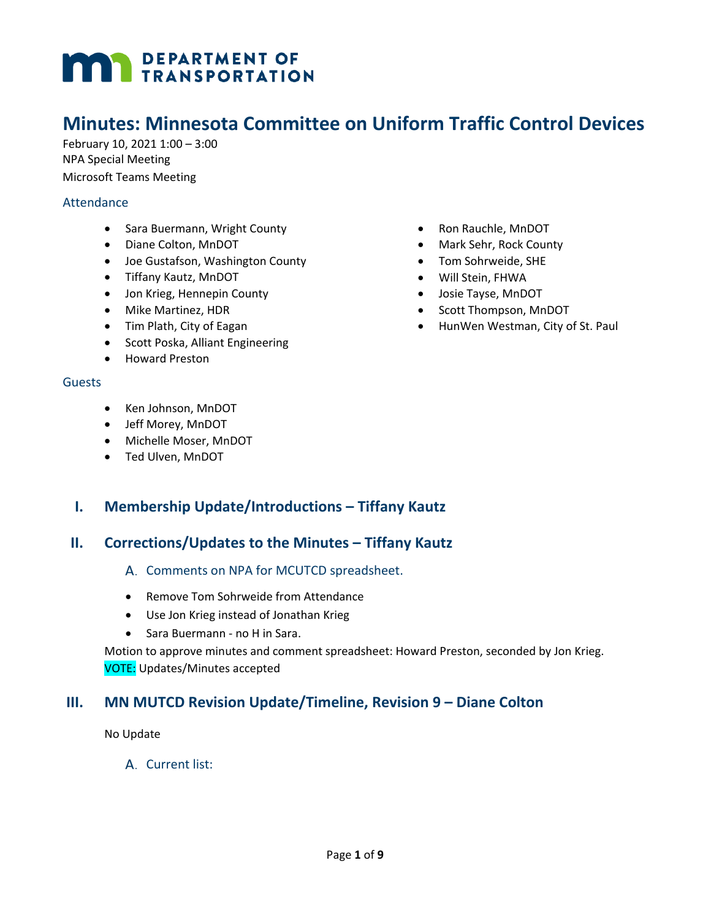# **DEPARTMENT OF TRANSPORTATION**

## **Minutes: Minnesota Committee on Uniform Traffic Control Devices**

February 10, 2021 1:00 – 3:00 NPA Special Meeting Microsoft Teams Meeting

#### **Attendance**

- Sara Buermann, Wright County
- Diane Colton, MnDOT
- Joe Gustafson, Washington County
- Tiffany Kautz, MnDOT
- Jon Krieg, Hennepin County
- Mike Martinez, HDR
- Tim Plath, City of Eagan
- Scott Poska, Alliant Engineering
- Howard Preston

#### Guests

- Ken Johnson, MnDOT
- Jeff Morey, MnDOT
- Michelle Moser, MnDOT
- Ted Ulven, MnDOT

#### **I. Membership Update/Introductions – Tiffany Kautz**

#### **II. Corrections/Updates to the Minutes – Tiffany Kautz**

- A. Comments on NPA for MCUTCD spreadsheet.
- Remove Tom Sohrweide from Attendance
- Use Jon Krieg instead of Jonathan Krieg
- Sara Buermann no H in Sara.

Motion to approve minutes and comment spreadsheet: Howard Preston, seconded by Jon Krieg. VOTE: Updates/Minutes accepted

#### **III. MN MUTCD Revision Update/Timeline, Revision 9 – Diane Colton**

No Update

A. Current list:

- Ron Rauchle, MnDOT
- Mark Sehr, Rock County
- Tom Sohrweide, SHE
- Will Stein, FHWA
- Josie Tayse, MnDOT
- Scott Thompson, MnDOT
- HunWen Westman, City of St. Paul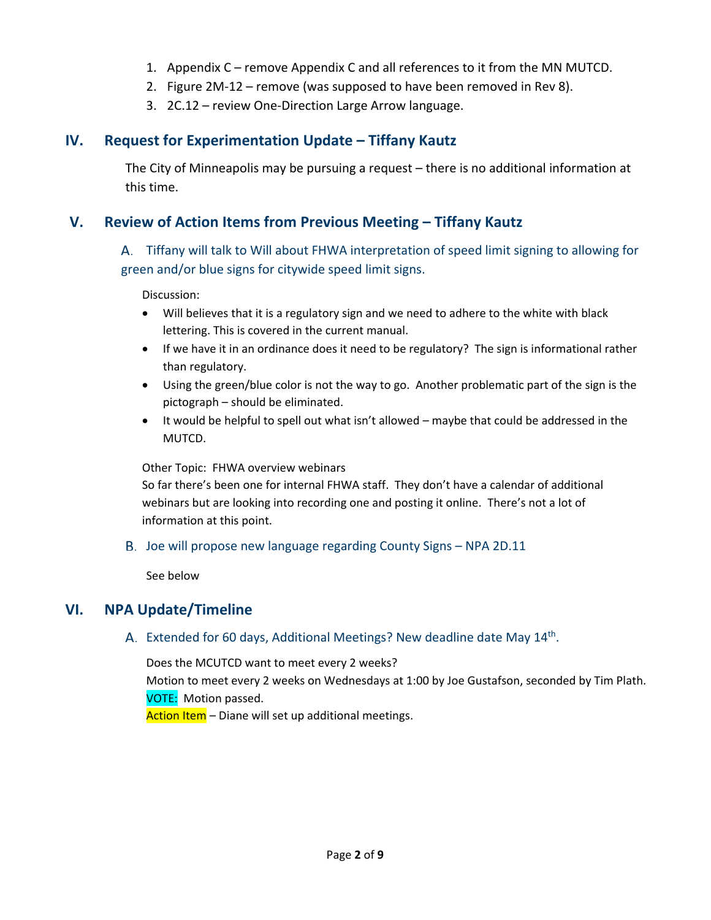- 1. Appendix C remove Appendix C and all references to it from the MN MUTCD.
- 2. Figure 2M-12 remove (was supposed to have been removed in Rev 8).
- 3. 2C.12 review One-Direction Large Arrow language.

## **IV. Request for Experimentation Update – Tiffany Kautz**

The City of Minneapolis may be pursuing a request – there is no additional information at this time.

## **V. Review of Action Items from Previous Meeting – Tiffany Kautz**

## Tiffany will talk to Will about FHWA interpretation of speed limit signing to allowing for green and/or blue signs for citywide speed limit signs.

Discussion:

- Will believes that it is a regulatory sign and we need to adhere to the white with black lettering. This is covered in the current manual.
- If we have it in an ordinance does it need to be regulatory? The sign is informational rather than regulatory.
- Using the green/blue color is not the way to go. Another problematic part of the sign is the pictograph – should be eliminated.
- It would be helpful to spell out what isn't allowed maybe that could be addressed in the MUTCD.

#### Other Topic: FHWA overview webinars

So far there's been one for internal FHWA staff. They don't have a calendar of additional webinars but are looking into recording one and posting it online. There's not a lot of information at this point.

## B. Joe will propose new language regarding County Signs - NPA 2D.11

See below

## **VI. NPA Update/Timeline**

## A. Extended for 60 days, Additional Meetings? New deadline date May 14<sup>th</sup>.

Does the MCUTCD want to meet every 2 weeks? Motion to meet every 2 weeks on Wednesdays at 1:00 by Joe Gustafson, seconded by Tim Plath. VOTE: Motion passed. Action Item - Diane will set up additional meetings.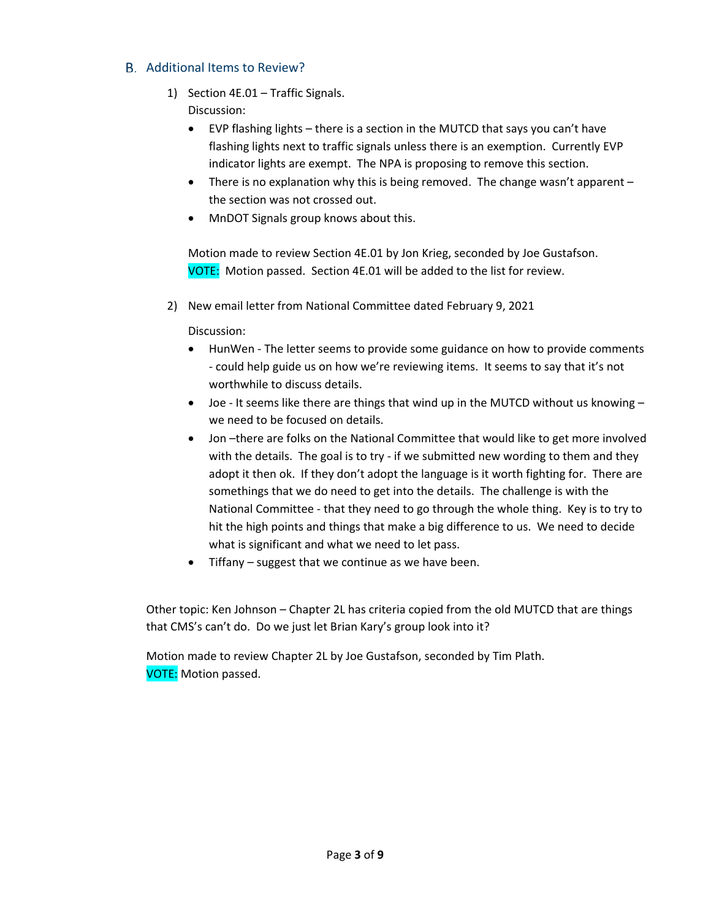#### B. Additional Items to Review?

- 1) Section 4E.01 Traffic Signals. Discussion:
	- EVP flashing lights there is a section in the MUTCD that says you can't have flashing lights next to traffic signals unless there is an exemption. Currently EVP indicator lights are exempt. The NPA is proposing to remove this section.
	- There is no explanation why this is being removed. The change wasn't apparent the section was not crossed out.
	- MnDOT Signals group knows about this.

Motion made to review Section 4E.01 by Jon Krieg, seconded by Joe Gustafson. VOTE: Motion passed. Section 4E.01 will be added to the list for review.

2) New email letter from National Committee dated February 9, 2021

Discussion:

- HunWen The letter seems to provide some guidance on how to provide comments - could help guide us on how we're reviewing items. It seems to say that it's not worthwhile to discuss details.
- Joe It seems like there are things that wind up in the MUTCD without us knowing we need to be focused on details.
- Jon –there are folks on the National Committee that would like to get more involved with the details. The goal is to try - if we submitted new wording to them and they adopt it then ok. If they don't adopt the language is it worth fighting for. There are somethings that we do need to get into the details. The challenge is with the National Committee - that they need to go through the whole thing. Key is to try to hit the high points and things that make a big difference to us. We need to decide what is significant and what we need to let pass.
- Tiffany suggest that we continue as we have been.

Other topic: Ken Johnson – Chapter 2L has criteria copied from the old MUTCD that are things that CMS's can't do. Do we just let Brian Kary's group look into it?

Motion made to review Chapter 2L by Joe Gustafson, seconded by Tim Plath. VOTE: Motion passed.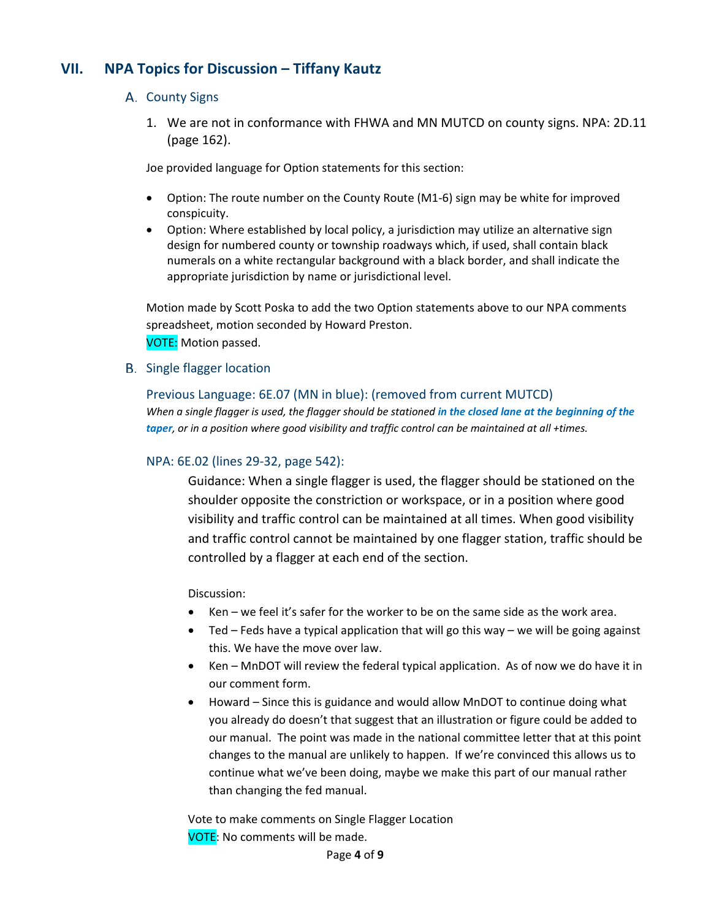## **VII. NPA Topics for Discussion – Tiffany Kautz**

#### A. County Signs

1. We are not in conformance with FHWA and MN MUTCD on county signs. NPA: 2D.11 (page 162).

Joe provided language for Option statements for this section:

- Option: The route number on the County Route (M1-6) sign may be white for improved conspicuity.
- Option: Where established by local policy, a jurisdiction may utilize an alternative sign design for numbered county or township roadways which, if used, shall contain black numerals on a white rectangular background with a black border, and shall indicate the appropriate jurisdiction by name or jurisdictional level.

Motion made by Scott Poska to add the two Option statements above to our NPA comments spreadsheet, motion seconded by Howard Preston. VOTE: Motion passed.

**B.** Single flagger location

Previous Language: 6E.07 (MN in blue): (removed from current MUTCD) *When a single flagger is used, the flagger should be stationed in the closed lane at the beginning of the taper, or in a position where good visibility and traffic control can be maintained at all +times.*

#### NPA: 6E.02 (lines 29-32, page 542):

Guidance: When a single flagger is used, the flagger should be stationed on the shoulder opposite the constriction or workspace, or in a position where good visibility and traffic control can be maintained at all times. When good visibility and traffic control cannot be maintained by one flagger station, traffic should be controlled by a flagger at each end of the section.

#### Discussion:

- Ken we feel it's safer for the worker to be on the same side as the work area.
- Ted Feds have a typical application that will go this way we will be going against this. We have the move over law.
- Ken MnDOT will review the federal typical application. As of now we do have it in our comment form.
- Howard Since this is guidance and would allow MnDOT to continue doing what you already do doesn't that suggest that an illustration or figure could be added to our manual. The point was made in the national committee letter that at this point changes to the manual are unlikely to happen. If we're convinced this allows us to continue what we've been doing, maybe we make this part of our manual rather than changing the fed manual.

Vote to make comments on Single Flagger Location VOTE: No comments will be made.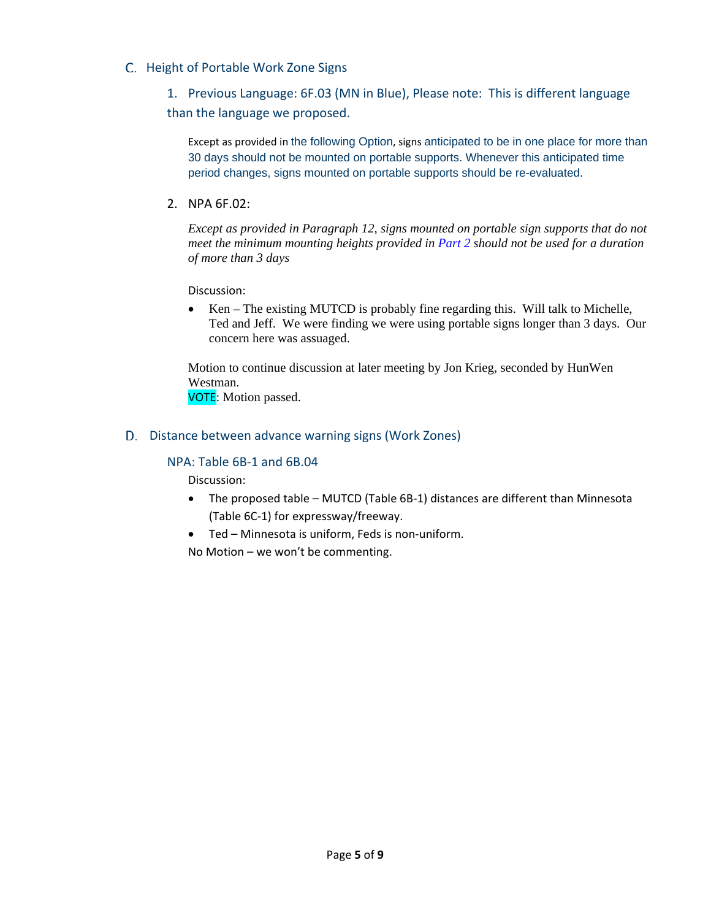#### C. Height of Portable Work Zone Signs

1. Previous Language: 6F.03 (MN in Blue), Please note: This is different language than the language we proposed.

Except as provided in the following Option, signs anticipated to be in one place for more than 30 days should not be mounted on portable supports. Whenever this anticipated time period changes, signs mounted on portable supports should be re-evaluated.

2. NPA 6F.02:

*Except as provided in Paragraph 12, signs mounted on portable sign supports that do not meet the minimum mounting heights provided in Part 2 should not be used for a duration of more than 3 days*

Discussion:

• Ken – The existing MUTCD is probably fine regarding this. Will talk to Michelle, Ted and Jeff. We were finding we were using portable signs longer than 3 days. Our concern here was assuaged.

Motion to continue discussion at later meeting by Jon Krieg, seconded by HunWen Westman. VOTE: Motion passed.

#### D. Distance between advance warning signs (Work Zones)

#### NPA: Table 6B-1 and 6B.04

Discussion:

- The proposed table MUTCD (Table 6B-1) distances are different than Minnesota (Table 6C-1) for expressway/freeway.
- Ted Minnesota is uniform, Feds is non-uniform.

No Motion – we won't be commenting.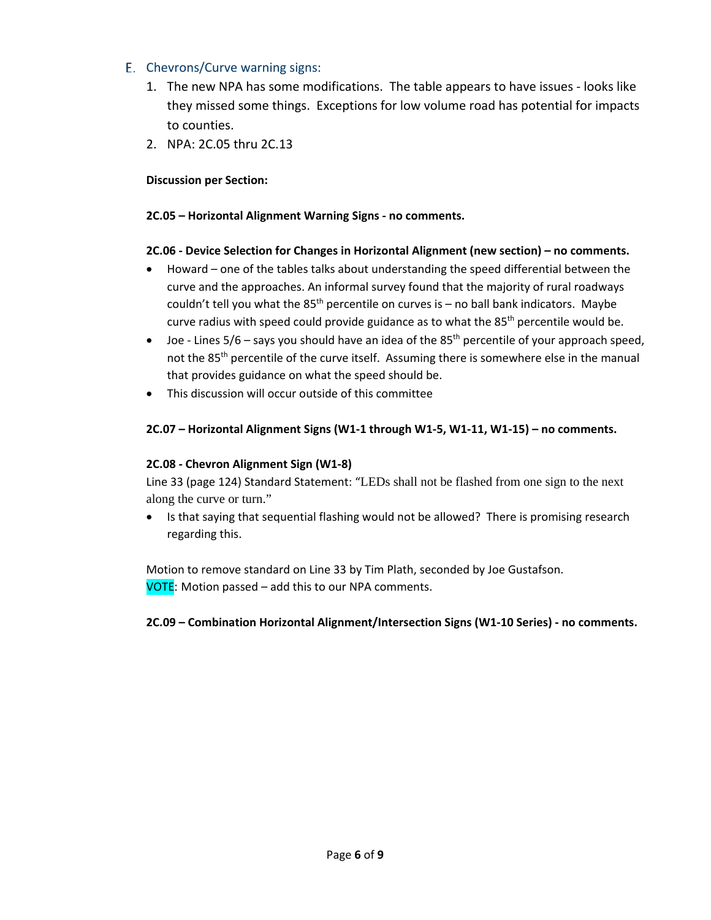#### E. Chevrons/Curve warning signs:

- 1. The new NPA has some modifications. The table appears to have issues looks like they missed some things. Exceptions for low volume road has potential for impacts to counties.
- 2. NPA: 2C.05 thru 2C.13

#### **Discussion per Section:**

#### **2C.05 – Horizontal Alignment Warning Signs - no comments.**

#### **2C.06 - Device Selection for Changes in Horizontal Alignment (new section) – no comments.**

- Howard one of the tables talks about understanding the speed differential between the curve and the approaches. An informal survey found that the majority of rural roadways couldn't tell you what the  $85<sup>th</sup>$  percentile on curves is – no ball bank indicators. Maybe curve radius with speed could provide guidance as to what the 85<sup>th</sup> percentile would be.
- Joe Lines  $5/6$  says you should have an idea of the  $85<sup>th</sup>$  percentile of your approach speed, not the 85<sup>th</sup> percentile of the curve itself. Assuming there is somewhere else in the manual that provides guidance on what the speed should be.
- This discussion will occur outside of this committee

#### **2C.07 – Horizontal Alignment Signs (W1-1 through W1-5, W1-11, W1-15) – no comments.**

#### **2C.08 - Chevron Alignment Sign (W1-8)**

Line 33 (page 124) Standard Statement: "LEDs shall not be flashed from one sign to the next along the curve or turn."

• Is that saying that sequential flashing would not be allowed? There is promising research regarding this.

Motion to remove standard on Line 33 by Tim Plath, seconded by Joe Gustafson. VOTE: Motion passed – add this to our NPA comments.

**2C.09 – Combination Horizontal Alignment/Intersection Signs (W1-10 Series) - no comments.**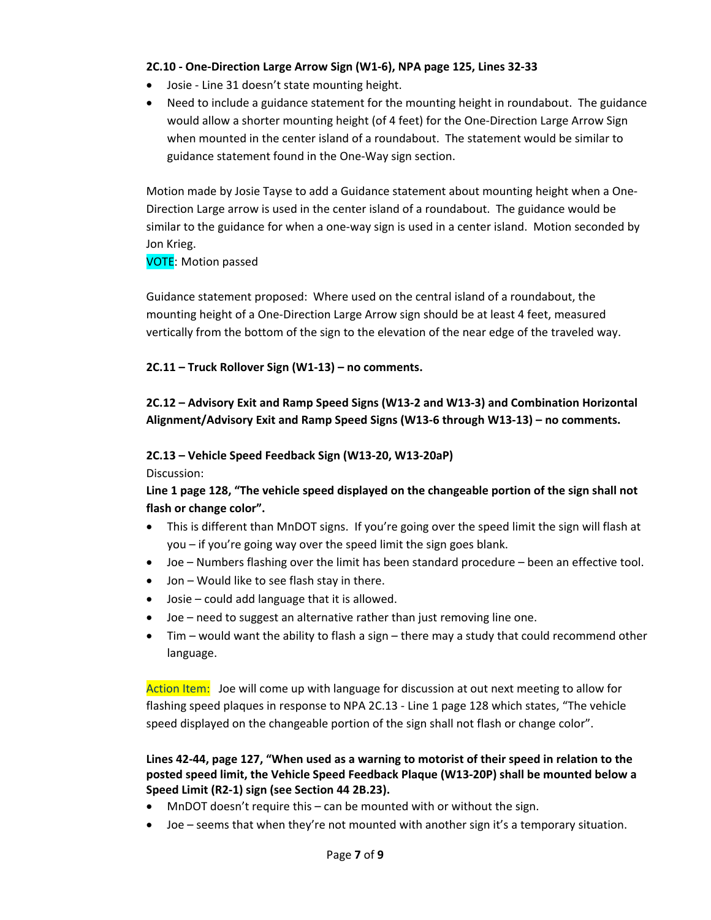#### **2C.10 - One-Direction Large Arrow Sign (W1-6), NPA page 125, Lines 32-33**

- Josie Line 31 doesn't state mounting height.
- Need to include a guidance statement for the mounting height in roundabout. The guidance would allow a shorter mounting height (of 4 feet) for the One-Direction Large Arrow Sign when mounted in the center island of a roundabout. The statement would be similar to guidance statement found in the One-Way sign section.

Motion made by Josie Tayse to add a Guidance statement about mounting height when a One-Direction Large arrow is used in the center island of a roundabout. The guidance would be similar to the guidance for when a one-way sign is used in a center island. Motion seconded by Jon Krieg.

VOTE: Motion passed

Guidance statement proposed: Where used on the central island of a roundabout, the mounting height of a One-Direction Large Arrow sign should be at least 4 feet, measured vertically from the bottom of the sign to the elevation of the near edge of the traveled way.

**2C.11 – Truck Rollover Sign (W1-13) – no comments.**

**2C.12 – Advisory Exit and Ramp Speed Signs (W13-2 and W13-3) and Combination Horizontal Alignment/Advisory Exit and Ramp Speed Signs (W13-6 through W13-13) – no comments.**

#### **2C.13 – Vehicle Speed Feedback Sign (W13-20, W13-20aP)**

Discussion:

**Line 1 page 128, "The vehicle speed displayed on the changeable portion of the sign shall not flash or change color".** 

- This is different than MnDOT signs. If you're going over the speed limit the sign will flash at you – if you're going way over the speed limit the sign goes blank.
- Joe Numbers flashing over the limit has been standard procedure been an effective tool.
- Jon Would like to see flash stay in there.
- Josie could add language that it is allowed.
- Joe need to suggest an alternative rather than just removing line one.
- Tim would want the ability to flash a sign there may a study that could recommend other language.

Action Item: Joe will come up with language for discussion at out next meeting to allow for flashing speed plaques in response to NPA 2C.13 - Line 1 page 128 which states, "The vehicle speed displayed on the changeable portion of the sign shall not flash or change color".

#### **Lines 42-44, page 127, "When used as a warning to motorist of their speed in relation to the posted speed limit, the Vehicle Speed Feedback Plaque (W13-20P) shall be mounted below a Speed Limit (R2-1) sign (see Section 44 2B.23).**

- MnDOT doesn't require this can be mounted with or without the sign.
- Joe seems that when they're not mounted with another sign it's a temporary situation.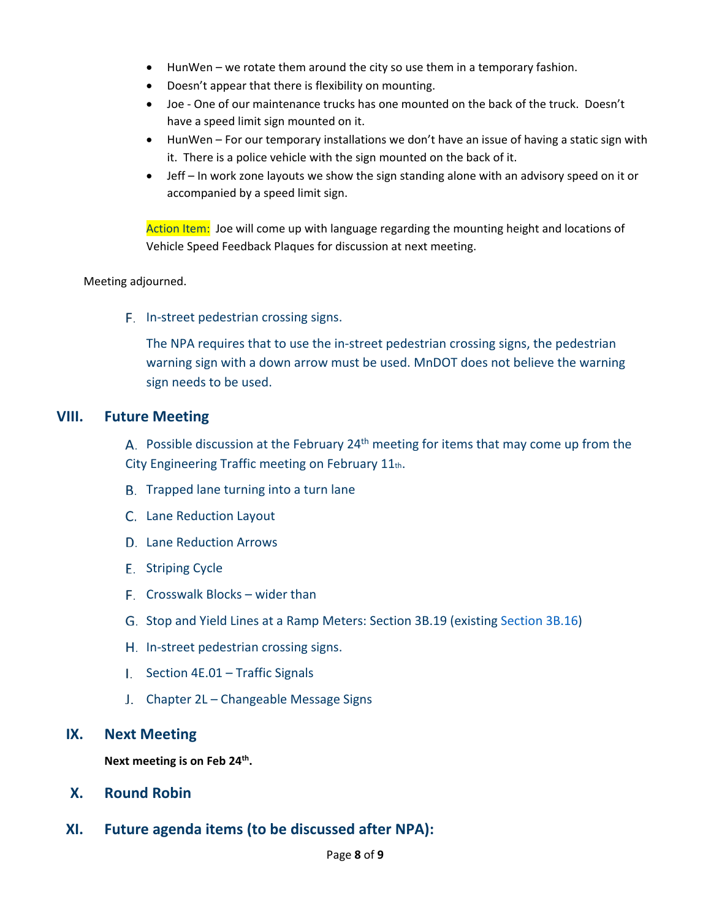- HunWen we rotate them around the city so use them in a temporary fashion.
- Doesn't appear that there is flexibility on mounting.
- Joe One of our maintenance trucks has one mounted on the back of the truck. Doesn't have a speed limit sign mounted on it.
- HunWen For our temporary installations we don't have an issue of having a static sign with it. There is a police vehicle with the sign mounted on the back of it.
- Jeff In work zone layouts we show the sign standing alone with an advisory speed on it or accompanied by a speed limit sign.

Action Item: Joe will come up with language regarding the mounting height and locations of Vehicle Speed Feedback Plaques for discussion at next meeting.

#### Meeting adjourned.

F. In-street pedestrian crossing signs.

The NPA requires that to use the in-street pedestrian crossing signs, the pedestrian warning sign with a down arrow must be used. MnDOT does not believe the warning sign needs to be used.

#### **VIII. Future Meeting**

A. Possible discussion at the February 24<sup>th</sup> meeting for items that may come up from the City Engineering Traffic meeting on February 11th.

- B. Trapped lane turning into a turn lane
- Lane Reduction Layout
- D. Lane Reduction Arrows
- E. Striping Cycle
- F. Crosswalk Blocks wider than
- Stop and Yield Lines at a Ramp Meters: Section 3B.19 (existing Section 3B.16)
- H. In-street pedestrian crossing signs.
- I. Section 4E.01 Traffic Signals
- J. Chapter 2L Changeable Message Signs

#### **IX. Next Meeting**

Next meeting is on Feb 24<sup>th</sup>.

- **X. Round Robin**
- **XI. Future agenda items (to be discussed after NPA):**